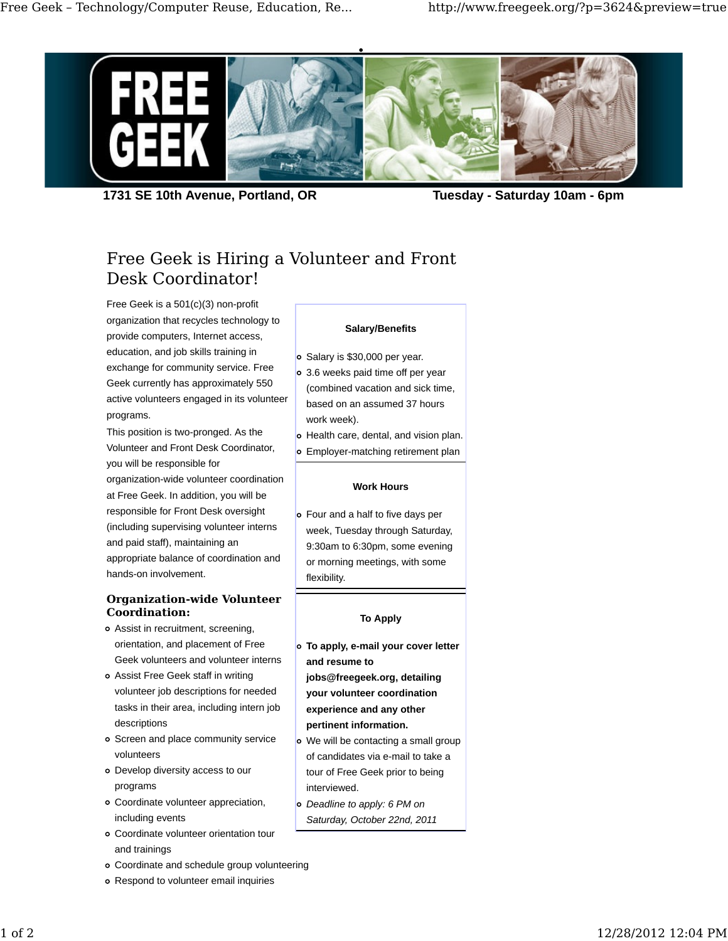

**1731 SE 10th Avenue, Portland, OR Tuesday - Saturday 10am - 6pm**

# Free Geek is Hiring a Volunteer and Front Desk Coordinator!

Free Geek is a 501(c)(3) non-profit organization that recycles technology to provide computers, Internet access, education, and job skills training in exchange for community service. Free Geek currently has approximately 550 active volunteers engaged in its volunteer programs.

This position is two-pronged. As the Volunteer and Front Desk Coordinator, you will be responsible for organization-wide volunteer coordination at Free Geek. In addition, you will be responsible for Front Desk oversight (including supervising volunteer interns and paid staff), maintaining an appropriate balance of coordination and hands-on involvement.

## **Organization-wide Volunteer Coordination:**

- Assist in recruitment, screening, orientation, and placement of Free Geek volunteers and volunteer interns
- Assist Free Geek staff in writing volunteer job descriptions for needed tasks in their area, including intern job descriptions
- Screen and place community service volunteers
- Develop diversity access to our programs
- Coordinate volunteer appreciation, including events
- Coordinate volunteer orientation tour and trainings
- Coordinate and schedule group volunteering
- Respond to volunteer email inquiries

## **Salary/Benefits**

- o Salary is \$30,000 per year.
- 3.6 weeks paid time off per year (combined vacation and sick time, based on an assumed 37 hours work week).
- o Health care, dental, and vision plan.
- o Employer-matching retirement plan

#### **Work Hours**

Four and a half to five days per week, Tuesday through Saturday, 9:30am to 6:30pm, some evening or morning meetings, with some flexibility.

## **To Apply**

- **To apply, e-mail your cover letter and resume to jobs@freegeek.org, detailing your volunteer coordination experience and any other pertinent information.**
- We will be contacting a small group of candidates via e-mail to take a tour of Free Geek prior to being interviewed.
- *Deadline to apply: 6 PM on Saturday, October 22nd, 2011*